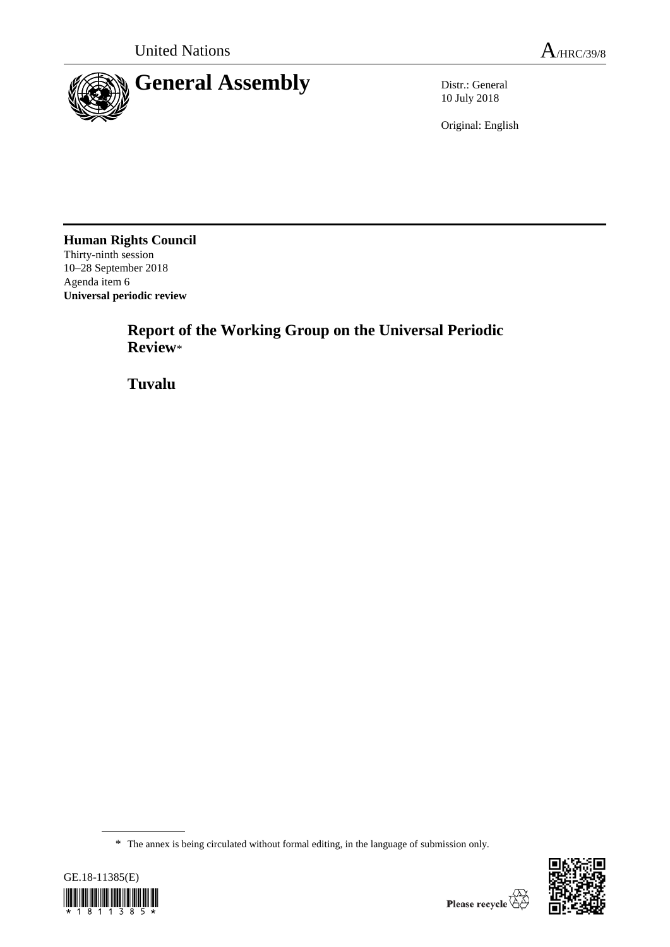

10 July 2018

Original: English

**Human Rights Council** Thirty-ninth session 10–28 September 2018 Agenda item 6 **Universal periodic review**

> **Report of the Working Group on the Universal Periodic Review**\*

**Tuvalu**

<sup>\*</sup> The annex is being circulated without formal editing, in the language of submission only.



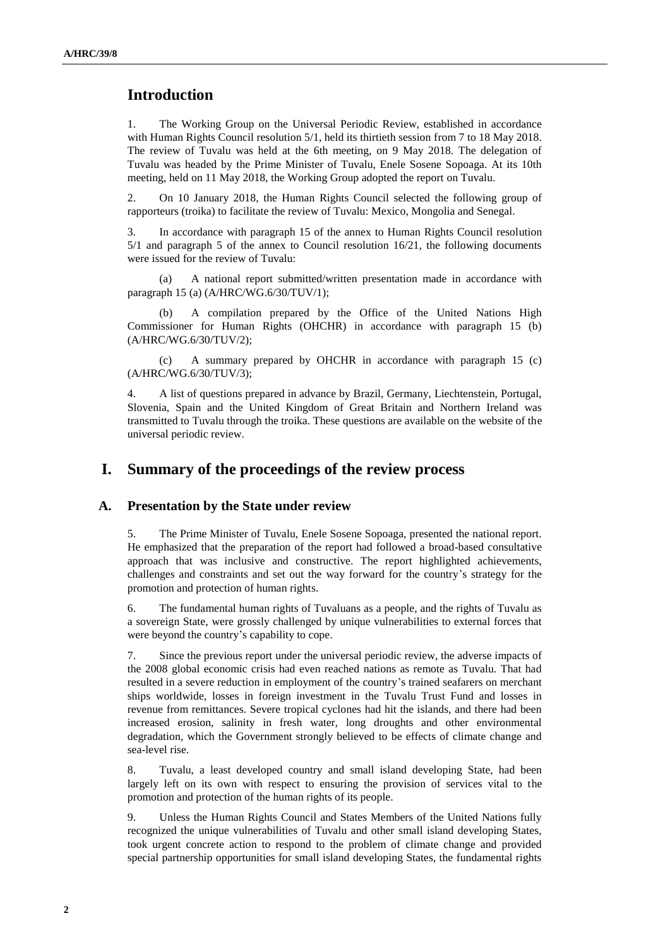# **Introduction**

1. The Working Group on the Universal Periodic Review, established in accordance with Human Rights Council resolution 5/1, held its thirtieth session from 7 to 18 May 2018. The review of Tuvalu was held at the 6th meeting, on 9 May 2018. The delegation of Tuvalu was headed by the Prime Minister of Tuvalu, Enele Sosene Sopoaga. At its 10th meeting, held on 11 May 2018, the Working Group adopted the report on Tuvalu.

2. On 10 January 2018, the Human Rights Council selected the following group of rapporteurs (troika) to facilitate the review of Tuvalu: Mexico, Mongolia and Senegal.

3. In accordance with paragraph 15 of the annex to Human Rights Council resolution 5/1 and paragraph 5 of the annex to Council resolution 16/21, the following documents were issued for the review of Tuvalu:

(a) A national report submitted/written presentation made in accordance with paragraph 15 (a) (A/HRC/WG.6/30/TUV/1);

(b) A compilation prepared by the Office of the United Nations High Commissioner for Human Rights (OHCHR) in accordance with paragraph 15 (b) (A/HRC/WG.6/30/TUV/2);

(c) A summary prepared by OHCHR in accordance with paragraph 15 (c) (A/HRC/WG.6/30/TUV/3);

4. A list of questions prepared in advance by Brazil, Germany, Liechtenstein, Portugal, Slovenia, Spain and the United Kingdom of Great Britain and Northern Ireland was transmitted to Tuvalu through the troika. These questions are available on the website of the universal periodic review.

# **I. Summary of the proceedings of the review process**

#### **A. Presentation by the State under review**

5. The Prime Minister of Tuvalu, Enele Sosene Sopoaga, presented the national report. He emphasized that the preparation of the report had followed a broad-based consultative approach that was inclusive and constructive. The report highlighted achievements, challenges and constraints and set out the way forward for the country's strategy for the promotion and protection of human rights.

6. The fundamental human rights of Tuvaluans as a people, and the rights of Tuvalu as a sovereign State, were grossly challenged by unique vulnerabilities to external forces that were beyond the country's capability to cope.

7. Since the previous report under the universal periodic review, the adverse impacts of the 2008 global economic crisis had even reached nations as remote as Tuvalu. That had resulted in a severe reduction in employment of the country's trained seafarers on merchant ships worldwide, losses in foreign investment in the Tuvalu Trust Fund and losses in revenue from remittances. Severe tropical cyclones had hit the islands, and there had been increased erosion, salinity in fresh water, long droughts and other environmental degradation, which the Government strongly believed to be effects of climate change and sea-level rise.

8. Tuvalu, a least developed country and small island developing State, had been largely left on its own with respect to ensuring the provision of services vital to the promotion and protection of the human rights of its people.

9. Unless the Human Rights Council and States Members of the United Nations fully recognized the unique vulnerabilities of Tuvalu and other small island developing States, took urgent concrete action to respond to the problem of climate change and provided special partnership opportunities for small island developing States, the fundamental rights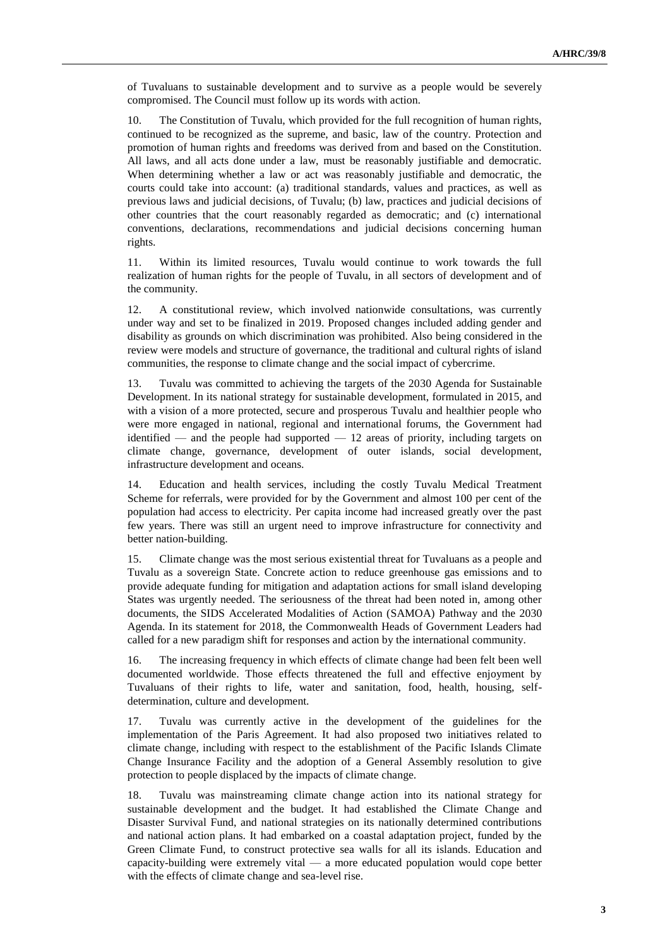of Tuvaluans to sustainable development and to survive as a people would be severely compromised. The Council must follow up its words with action.

10. The Constitution of Tuvalu, which provided for the full recognition of human rights, continued to be recognized as the supreme, and basic, law of the country. Protection and promotion of human rights and freedoms was derived from and based on the Constitution. All laws, and all acts done under a law, must be reasonably justifiable and democratic. When determining whether a law or act was reasonably justifiable and democratic, the courts could take into account: (a) traditional standards, values and practices, as well as previous laws and judicial decisions, of Tuvalu; (b) law, practices and judicial decisions of other countries that the court reasonably regarded as democratic; and (c) international conventions, declarations, recommendations and judicial decisions concerning human rights.

11. Within its limited resources, Tuvalu would continue to work towards the full realization of human rights for the people of Tuvalu, in all sectors of development and of the community.

12. A constitutional review, which involved nationwide consultations, was currently under way and set to be finalized in 2019. Proposed changes included adding gender and disability as grounds on which discrimination was prohibited. Also being considered in the review were models and structure of governance, the traditional and cultural rights of island communities, the response to climate change and the social impact of cybercrime.

13. Tuvalu was committed to achieving the targets of the 2030 Agenda for Sustainable Development. In its national strategy for sustainable development, formulated in 2015, and with a vision of a more protected, secure and prosperous Tuvalu and healthier people who were more engaged in national, regional and international forums, the Government had identified — and the people had supported — 12 areas of priority, including targets on climate change, governance, development of outer islands, social development, infrastructure development and oceans.

14. Education and health services, including the costly Tuvalu Medical Treatment Scheme for referrals, were provided for by the Government and almost 100 per cent of the population had access to electricity. Per capita income had increased greatly over the past few years. There was still an urgent need to improve infrastructure for connectivity and better nation-building.

15. Climate change was the most serious existential threat for Tuvaluans as a people and Tuvalu as a sovereign State. Concrete action to reduce greenhouse gas emissions and to provide adequate funding for mitigation and adaptation actions for small island developing States was urgently needed. The seriousness of the threat had been noted in, among other documents, the SIDS Accelerated Modalities of Action (SAMOA) Pathway and the 2030 Agenda. In its statement for 2018, the Commonwealth Heads of Government Leaders had called for a new paradigm shift for responses and action by the international community.

16. The increasing frequency in which effects of climate change had been felt been well documented worldwide. Those effects threatened the full and effective enjoyment by Tuvaluans of their rights to life, water and sanitation, food, health, housing, selfdetermination, culture and development.

17. Tuvalu was currently active in the development of the guidelines for the implementation of the Paris Agreement. It had also proposed two initiatives related to climate change, including with respect to the establishment of the Pacific Islands Climate Change Insurance Facility and the adoption of a General Assembly resolution to give protection to people displaced by the impacts of climate change.

18. Tuvalu was mainstreaming climate change action into its national strategy for sustainable development and the budget. It had established the Climate Change and Disaster Survival Fund, and national strategies on its nationally determined contributions and national action plans. It had embarked on a coastal adaptation project, funded by the Green Climate Fund, to construct protective sea walls for all its islands. Education and capacity-building were extremely vital  $-$  a more educated population would cope better with the effects of climate change and sea-level rise.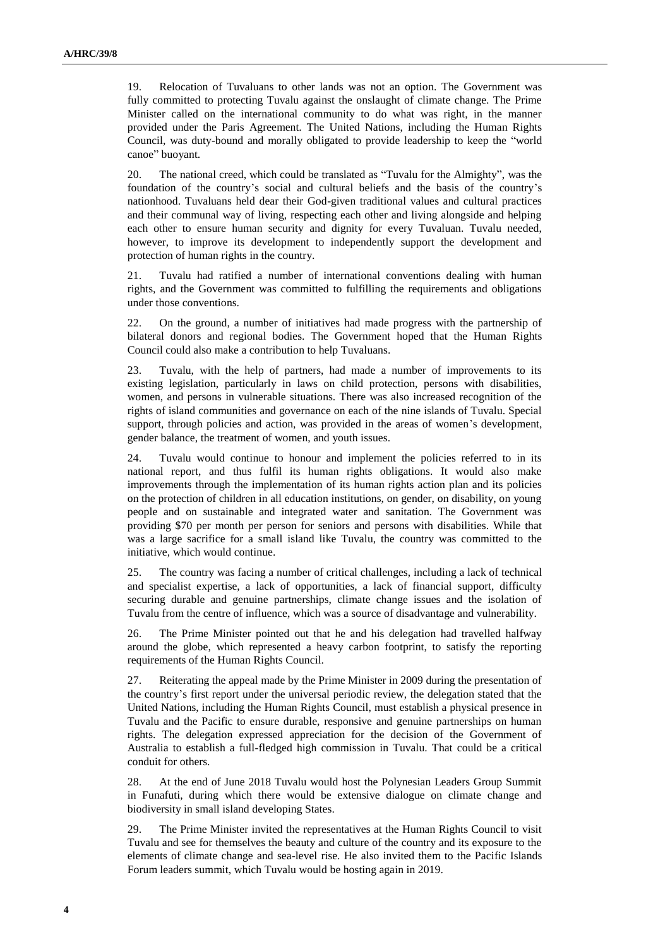19. Relocation of Tuvaluans to other lands was not an option. The Government was fully committed to protecting Tuvalu against the onslaught of climate change. The Prime Minister called on the international community to do what was right, in the manner provided under the Paris Agreement. The United Nations, including the Human Rights Council, was duty-bound and morally obligated to provide leadership to keep the "world canoe" buoyant.

20. The national creed, which could be translated as "Tuvalu for the Almighty", was the foundation of the country's social and cultural beliefs and the basis of the country's nationhood. Tuvaluans held dear their God-given traditional values and cultural practices and their communal way of living, respecting each other and living alongside and helping each other to ensure human security and dignity for every Tuvaluan. Tuvalu needed, however, to improve its development to independently support the development and protection of human rights in the country.

21. Tuvalu had ratified a number of international conventions dealing with human rights, and the Government was committed to fulfilling the requirements and obligations under those conventions.

22. On the ground, a number of initiatives had made progress with the partnership of bilateral donors and regional bodies. The Government hoped that the Human Rights Council could also make a contribution to help Tuvaluans.

23. Tuvalu, with the help of partners, had made a number of improvements to its existing legislation, particularly in laws on child protection, persons with disabilities, women, and persons in vulnerable situations. There was also increased recognition of the rights of island communities and governance on each of the nine islands of Tuvalu. Special support, through policies and action, was provided in the areas of women's development, gender balance, the treatment of women, and youth issues.

24. Tuvalu would continue to honour and implement the policies referred to in its national report, and thus fulfil its human rights obligations. It would also make improvements through the implementation of its human rights action plan and its policies on the protection of children in all education institutions, on gender, on disability, on young people and on sustainable and integrated water and sanitation. The Government was providing \$70 per month per person for seniors and persons with disabilities. While that was a large sacrifice for a small island like Tuvalu, the country was committed to the initiative, which would continue.

25. The country was facing a number of critical challenges, including a lack of technical and specialist expertise, a lack of opportunities, a lack of financial support, difficulty securing durable and genuine partnerships, climate change issues and the isolation of Tuvalu from the centre of influence, which was a source of disadvantage and vulnerability.

26. The Prime Minister pointed out that he and his delegation had travelled halfway around the globe, which represented a heavy carbon footprint, to satisfy the reporting requirements of the Human Rights Council.

27. Reiterating the appeal made by the Prime Minister in 2009 during the presentation of the country's first report under the universal periodic review, the delegation stated that the United Nations, including the Human Rights Council, must establish a physical presence in Tuvalu and the Pacific to ensure durable, responsive and genuine partnerships on human rights. The delegation expressed appreciation for the decision of the Government of Australia to establish a full-fledged high commission in Tuvalu. That could be a critical conduit for others.

28. At the end of June 2018 Tuvalu would host the Polynesian Leaders Group Summit in Funafuti, during which there would be extensive dialogue on climate change and biodiversity in small island developing States.

29. The Prime Minister invited the representatives at the Human Rights Council to visit Tuvalu and see for themselves the beauty and culture of the country and its exposure to the elements of climate change and sea-level rise. He also invited them to the Pacific Islands Forum leaders summit, which Tuvalu would be hosting again in 2019.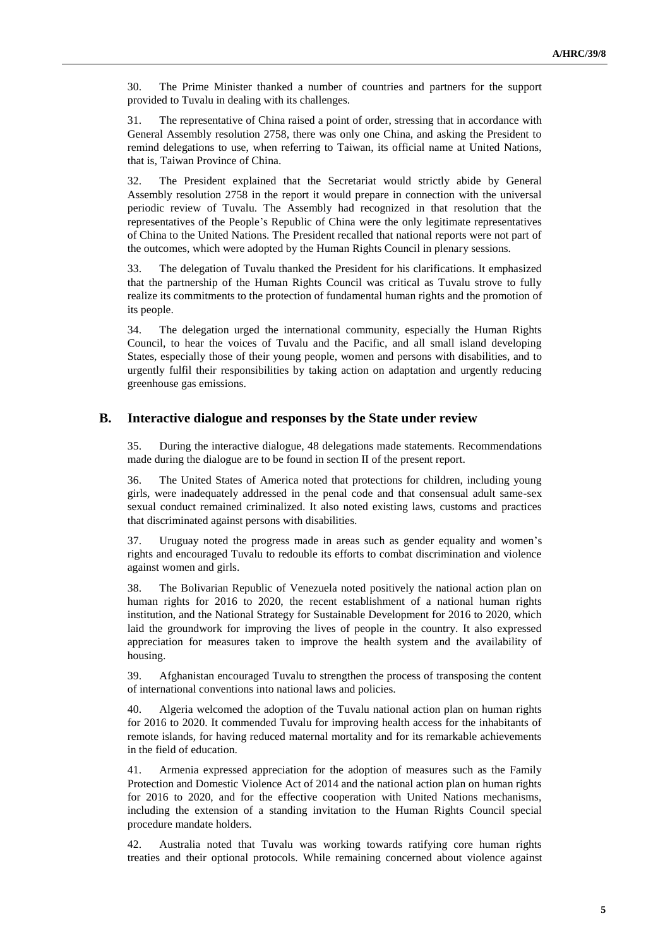30. The Prime Minister thanked a number of countries and partners for the support provided to Tuvalu in dealing with its challenges.

31. The representative of China raised a point of order, stressing that in accordance with General Assembly resolution 2758, there was only one China, and asking the President to remind delegations to use, when referring to Taiwan, its official name at United Nations, that is, Taiwan Province of China.

32. The President explained that the Secretariat would strictly abide by General Assembly resolution 2758 in the report it would prepare in connection with the universal periodic review of Tuvalu. The Assembly had recognized in that resolution that the representatives of the People's Republic of China were the only legitimate representatives of China to the United Nations. The President recalled that national reports were not part of the outcomes, which were adopted by the Human Rights Council in plenary sessions.

33. The delegation of Tuvalu thanked the President for his clarifications. It emphasized that the partnership of the Human Rights Council was critical as Tuvalu strove to fully realize its commitments to the protection of fundamental human rights and the promotion of its people.

34. The delegation urged the international community, especially the Human Rights Council, to hear the voices of Tuvalu and the Pacific, and all small island developing States, especially those of their young people, women and persons with disabilities, and to urgently fulfil their responsibilities by taking action on adaptation and urgently reducing greenhouse gas emissions.

#### **B. Interactive dialogue and responses by the State under review**

35. During the interactive dialogue, 48 delegations made statements. Recommendations made during the dialogue are to be found in section II of the present report.

36. The United States of America noted that protections for children, including young girls, were inadequately addressed in the penal code and that consensual adult same-sex sexual conduct remained criminalized. It also noted existing laws, customs and practices that discriminated against persons with disabilities.

37. Uruguay noted the progress made in areas such as gender equality and women's rights and encouraged Tuvalu to redouble its efforts to combat discrimination and violence against women and girls.

38. The Bolivarian Republic of Venezuela noted positively the national action plan on human rights for 2016 to 2020, the recent establishment of a national human rights institution, and the National Strategy for Sustainable Development for 2016 to 2020, which laid the groundwork for improving the lives of people in the country. It also expressed appreciation for measures taken to improve the health system and the availability of housing.

39. Afghanistan encouraged Tuvalu to strengthen the process of transposing the content of international conventions into national laws and policies.

40. Algeria welcomed the adoption of the Tuvalu national action plan on human rights for 2016 to 2020. It commended Tuvalu for improving health access for the inhabitants of remote islands, for having reduced maternal mortality and for its remarkable achievements in the field of education.

41. Armenia expressed appreciation for the adoption of measures such as the Family Protection and Domestic Violence Act of 2014 and the national action plan on human rights for 2016 to 2020, and for the effective cooperation with United Nations mechanisms, including the extension of a standing invitation to the Human Rights Council special procedure mandate holders.

42. Australia noted that Tuvalu was working towards ratifying core human rights treaties and their optional protocols. While remaining concerned about violence against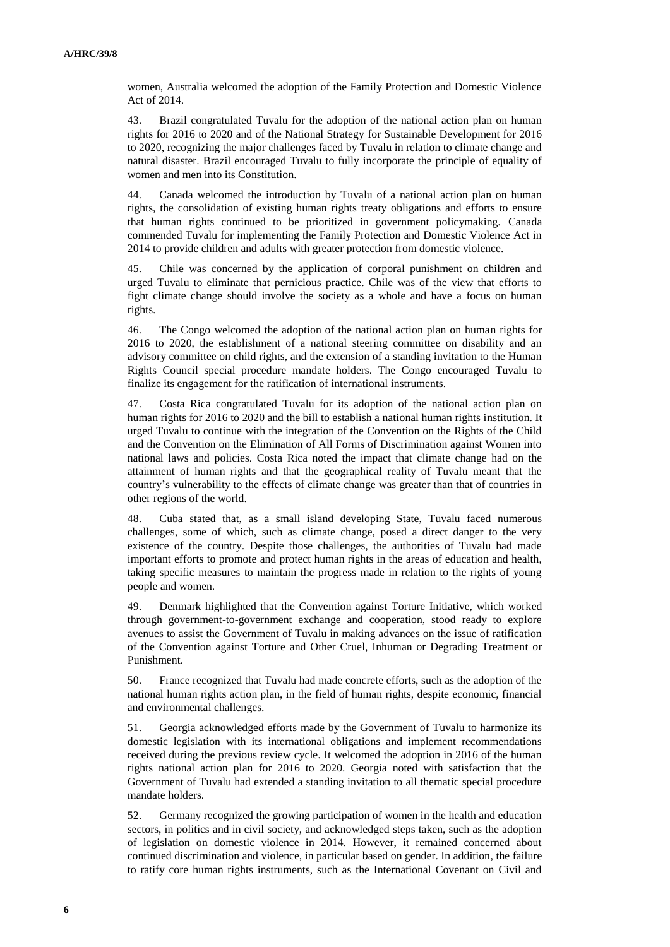women, Australia welcomed the adoption of the Family Protection and Domestic Violence Act of 2014.

43. Brazil congratulated Tuvalu for the adoption of the national action plan on human rights for 2016 to 2020 and of the National Strategy for Sustainable Development for 2016 to 2020, recognizing the major challenges faced by Tuvalu in relation to climate change and natural disaster. Brazil encouraged Tuvalu to fully incorporate the principle of equality of women and men into its Constitution.

44. Canada welcomed the introduction by Tuvalu of a national action plan on human rights, the consolidation of existing human rights treaty obligations and efforts to ensure that human rights continued to be prioritized in government policymaking. Canada commended Tuvalu for implementing the Family Protection and Domestic Violence Act in 2014 to provide children and adults with greater protection from domestic violence.

45. Chile was concerned by the application of corporal punishment on children and urged Tuvalu to eliminate that pernicious practice. Chile was of the view that efforts to fight climate change should involve the society as a whole and have a focus on human rights.

46. The Congo welcomed the adoption of the national action plan on human rights for 2016 to 2020, the establishment of a national steering committee on disability and an advisory committee on child rights, and the extension of a standing invitation to the Human Rights Council special procedure mandate holders. The Congo encouraged Tuvalu to finalize its engagement for the ratification of international instruments.

47. Costa Rica congratulated Tuvalu for its adoption of the national action plan on human rights for 2016 to 2020 and the bill to establish a national human rights institution. It urged Tuvalu to continue with the integration of the Convention on the Rights of the Child and the Convention on the Elimination of All Forms of Discrimination against Women into national laws and policies. Costa Rica noted the impact that climate change had on the attainment of human rights and that the geographical reality of Tuvalu meant that the country's vulnerability to the effects of climate change was greater than that of countries in other regions of the world.

48. Cuba stated that, as a small island developing State, Tuvalu faced numerous challenges, some of which, such as climate change, posed a direct danger to the very existence of the country. Despite those challenges, the authorities of Tuvalu had made important efforts to promote and protect human rights in the areas of education and health, taking specific measures to maintain the progress made in relation to the rights of young people and women.

49. Denmark highlighted that the Convention against Torture Initiative, which worked through government-to-government exchange and cooperation, stood ready to explore avenues to assist the Government of Tuvalu in making advances on the issue of ratification of the Convention against Torture and Other Cruel, Inhuman or Degrading Treatment or Punishment.

50. France recognized that Tuvalu had made concrete efforts, such as the adoption of the national human rights action plan, in the field of human rights, despite economic, financial and environmental challenges.

51. Georgia acknowledged efforts made by the Government of Tuvalu to harmonize its domestic legislation with its international obligations and implement recommendations received during the previous review cycle. It welcomed the adoption in 2016 of the human rights national action plan for 2016 to 2020. Georgia noted with satisfaction that the Government of Tuvalu had extended a standing invitation to all thematic special procedure mandate holders.

52. Germany recognized the growing participation of women in the health and education sectors, in politics and in civil society, and acknowledged steps taken, such as the adoption of legislation on domestic violence in 2014. However, it remained concerned about continued discrimination and violence, in particular based on gender. In addition, the failure to ratify core human rights instruments, such as the International Covenant on Civil and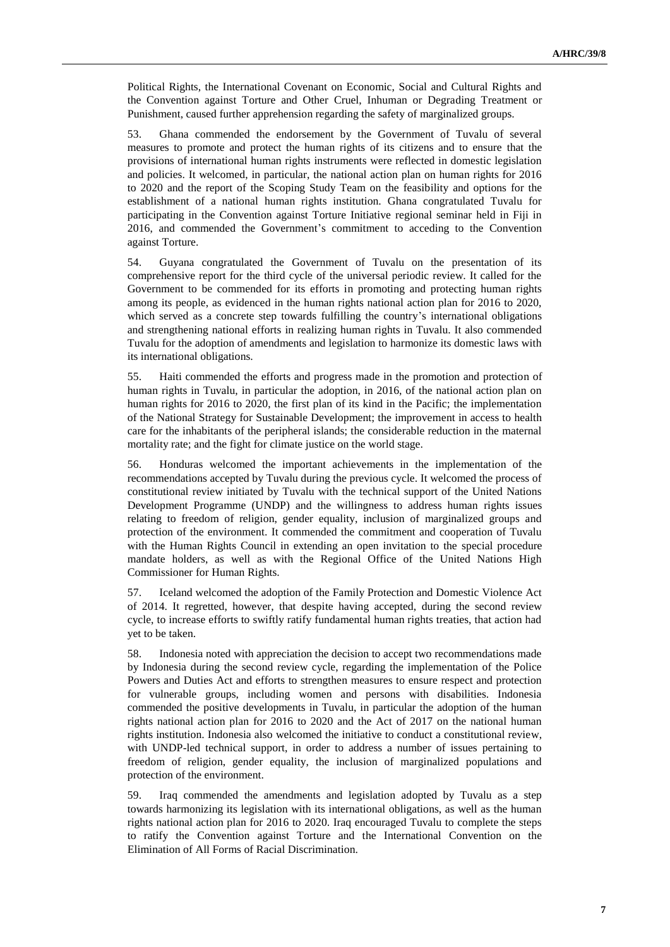Political Rights, the International Covenant on Economic, Social and Cultural Rights and the Convention against Torture and Other Cruel, Inhuman or Degrading Treatment or Punishment, caused further apprehension regarding the safety of marginalized groups.

53. Ghana commended the endorsement by the Government of Tuvalu of several measures to promote and protect the human rights of its citizens and to ensure that the provisions of international human rights instruments were reflected in domestic legislation and policies. It welcomed, in particular, the national action plan on human rights for 2016 to 2020 and the report of the Scoping Study Team on the feasibility and options for the establishment of a national human rights institution. Ghana congratulated Tuvalu for participating in the Convention against Torture Initiative regional seminar held in Fiji in 2016, and commended the Government's commitment to acceding to the Convention against Torture.

54. Guyana congratulated the Government of Tuvalu on the presentation of its comprehensive report for the third cycle of the universal periodic review. It called for the Government to be commended for its efforts in promoting and protecting human rights among its people, as evidenced in the human rights national action plan for 2016 to 2020, which served as a concrete step towards fulfilling the country's international obligations and strengthening national efforts in realizing human rights in Tuvalu. It also commended Tuvalu for the adoption of amendments and legislation to harmonize its domestic laws with its international obligations.

55. Haiti commended the efforts and progress made in the promotion and protection of human rights in Tuvalu, in particular the adoption, in 2016, of the national action plan on human rights for 2016 to 2020, the first plan of its kind in the Pacific; the implementation of the National Strategy for Sustainable Development; the improvement in access to health care for the inhabitants of the peripheral islands; the considerable reduction in the maternal mortality rate; and the fight for climate justice on the world stage.

56. Honduras welcomed the important achievements in the implementation of the recommendations accepted by Tuvalu during the previous cycle. It welcomed the process of constitutional review initiated by Tuvalu with the technical support of the United Nations Development Programme (UNDP) and the willingness to address human rights issues relating to freedom of religion, gender equality, inclusion of marginalized groups and protection of the environment. It commended the commitment and cooperation of Tuvalu with the Human Rights Council in extending an open invitation to the special procedure mandate holders, as well as with the Regional Office of the United Nations High Commissioner for Human Rights.

57. Iceland welcomed the adoption of the Family Protection and Domestic Violence Act of 2014. It regretted, however, that despite having accepted, during the second review cycle, to increase efforts to swiftly ratify fundamental human rights treaties, that action had yet to be taken.

58. Indonesia noted with appreciation the decision to accept two recommendations made by Indonesia during the second review cycle, regarding the implementation of the Police Powers and Duties Act and efforts to strengthen measures to ensure respect and protection for vulnerable groups, including women and persons with disabilities. Indonesia commended the positive developments in Tuvalu, in particular the adoption of the human rights national action plan for 2016 to 2020 and the Act of 2017 on the national human rights institution. Indonesia also welcomed the initiative to conduct a constitutional review, with UNDP-led technical support, in order to address a number of issues pertaining to freedom of religion, gender equality, the inclusion of marginalized populations and protection of the environment.

59. Iraq commended the amendments and legislation adopted by Tuvalu as a step towards harmonizing its legislation with its international obligations, as well as the human rights national action plan for 2016 to 2020. Iraq encouraged Tuvalu to complete the steps to ratify the Convention against Torture and the International Convention on the Elimination of All Forms of Racial Discrimination.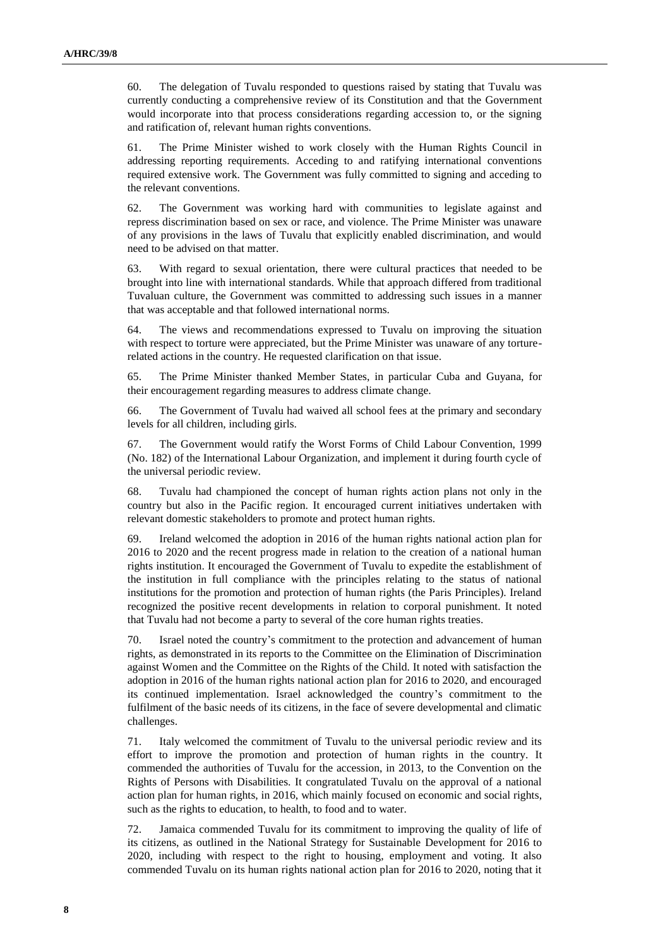60. The delegation of Tuvalu responded to questions raised by stating that Tuvalu was currently conducting a comprehensive review of its Constitution and that the Government would incorporate into that process considerations regarding accession to, or the signing and ratification of, relevant human rights conventions.

61. The Prime Minister wished to work closely with the Human Rights Council in addressing reporting requirements. Acceding to and ratifying international conventions required extensive work. The Government was fully committed to signing and acceding to the relevant conventions.

62. The Government was working hard with communities to legislate against and repress discrimination based on sex or race, and violence. The Prime Minister was unaware of any provisions in the laws of Tuvalu that explicitly enabled discrimination, and would need to be advised on that matter.

63. With regard to sexual orientation, there were cultural practices that needed to be brought into line with international standards. While that approach differed from traditional Tuvaluan culture, the Government was committed to addressing such issues in a manner that was acceptable and that followed international norms.

64. The views and recommendations expressed to Tuvalu on improving the situation with respect to torture were appreciated, but the Prime Minister was unaware of any torturerelated actions in the country. He requested clarification on that issue.

65. The Prime Minister thanked Member States, in particular Cuba and Guyana, for their encouragement regarding measures to address climate change.

66. The Government of Tuvalu had waived all school fees at the primary and secondary levels for all children, including girls.

67. The Government would ratify the Worst Forms of Child Labour Convention, 1999 (No. 182) of the International Labour Organization, and implement it during fourth cycle of the universal periodic review.

68. Tuvalu had championed the concept of human rights action plans not only in the country but also in the Pacific region. It encouraged current initiatives undertaken with relevant domestic stakeholders to promote and protect human rights.

69. Ireland welcomed the adoption in 2016 of the human rights national action plan for 2016 to 2020 and the recent progress made in relation to the creation of a national human rights institution. It encouraged the Government of Tuvalu to expedite the establishment of the institution in full compliance with the principles relating to the status of national institutions for the promotion and protection of human rights (the Paris Principles). Ireland recognized the positive recent developments in relation to corporal punishment. It noted that Tuvalu had not become a party to several of the core human rights treaties.

70. Israel noted the country's commitment to the protection and advancement of human rights, as demonstrated in its reports to the Committee on the Elimination of Discrimination against Women and the Committee on the Rights of the Child. It noted with satisfaction the adoption in 2016 of the human rights national action plan for 2016 to 2020, and encouraged its continued implementation. Israel acknowledged the country's commitment to the fulfilment of the basic needs of its citizens, in the face of severe developmental and climatic challenges.

71. Italy welcomed the commitment of Tuvalu to the universal periodic review and its effort to improve the promotion and protection of human rights in the country. It commended the authorities of Tuvalu for the accession, in 2013, to the Convention on the Rights of Persons with Disabilities. It congratulated Tuvalu on the approval of a national action plan for human rights, in 2016, which mainly focused on economic and social rights, such as the rights to education, to health, to food and to water.

72. Jamaica commended Tuvalu for its commitment to improving the quality of life of its citizens, as outlined in the National Strategy for Sustainable Development for 2016 to 2020, including with respect to the right to housing, employment and voting. It also commended Tuvalu on its human rights national action plan for 2016 to 2020, noting that it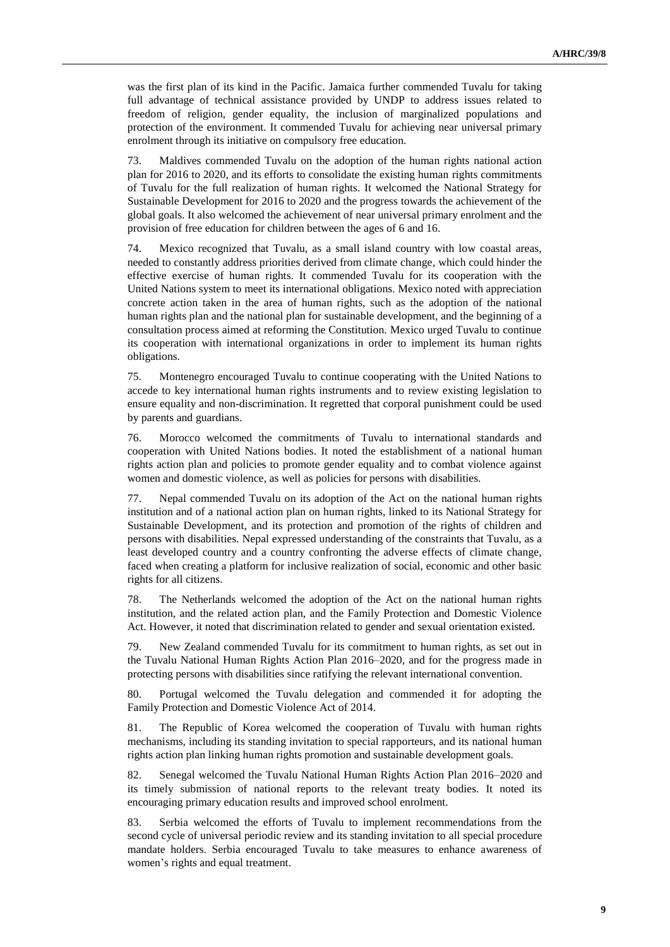was the first plan of its kind in the Pacific. Jamaica further commended Tuvalu for taking full advantage of technical assistance provided by UNDP to address issues related to freedom of religion, gender equality, the inclusion of marginalized populations and protection of the environment. It commended Tuvalu for achieving near universal primary enrolment through its initiative on compulsory free education.

73. Maldives commended Tuvalu on the adoption of the human rights national action plan for 2016 to 2020, and its efforts to consolidate the existing human rights commitments of Tuvalu for the full realization of human rights. It welcomed the National Strategy for Sustainable Development for 2016 to 2020 and the progress towards the achievement of the global goals. It also welcomed the achievement of near universal primary enrolment and the provision of free education for children between the ages of 6 and 16.

74. Mexico recognized that Tuvalu, as a small island country with low coastal areas, needed to constantly address priorities derived from climate change, which could hinder the effective exercise of human rights. It commended Tuvalu for its cooperation with the United Nations system to meet its international obligations. Mexico noted with appreciation concrete action taken in the area of human rights, such as the adoption of the national human rights plan and the national plan for sustainable development, and the beginning of a consultation process aimed at reforming the Constitution. Mexico urged Tuvalu to continue its cooperation with international organizations in order to implement its human rights obligations.

75. Montenegro encouraged Tuvalu to continue cooperating with the United Nations to accede to key international human rights instruments and to review existing legislation to ensure equality and non-discrimination. It regretted that corporal punishment could be used by parents and guardians.

76. Morocco welcomed the commitments of Tuvalu to international standards and cooperation with United Nations bodies. It noted the establishment of a national human rights action plan and policies to promote gender equality and to combat violence against women and domestic violence, as well as policies for persons with disabilities.

77. Nepal commended Tuvalu on its adoption of the Act on the national human rights institution and of a national action plan on human rights, linked to its National Strategy for Sustainable Development, and its protection and promotion of the rights of children and persons with disabilities. Nepal expressed understanding of the constraints that Tuvalu, as a least developed country and a country confronting the adverse effects of climate change, faced when creating a platform for inclusive realization of social, economic and other basic rights for all citizens.

78. The Netherlands welcomed the adoption of the Act on the national human rights institution, and the related action plan, and the Family Protection and Domestic Violence Act. However, it noted that discrimination related to gender and sexual orientation existed.

79. New Zealand commended Tuvalu for its commitment to human rights, as set out in the Tuvalu National Human Rights Action Plan 2016–2020, and for the progress made in protecting persons with disabilities since ratifying the relevant international convention.

80. Portugal welcomed the Tuvalu delegation and commended it for adopting the Family Protection and Domestic Violence Act of 2014.

81. The Republic of Korea welcomed the cooperation of Tuvalu with human rights mechanisms, including its standing invitation to special rapporteurs, and its national human rights action plan linking human rights promotion and sustainable development goals.

82. Senegal welcomed the Tuvalu National Human Rights Action Plan 2016–2020 and its timely submission of national reports to the relevant treaty bodies. It noted its encouraging primary education results and improved school enrolment.

83. Serbia welcomed the efforts of Tuvalu to implement recommendations from the second cycle of universal periodic review and its standing invitation to all special procedure mandate holders. Serbia encouraged Tuvalu to take measures to enhance awareness of women's rights and equal treatment.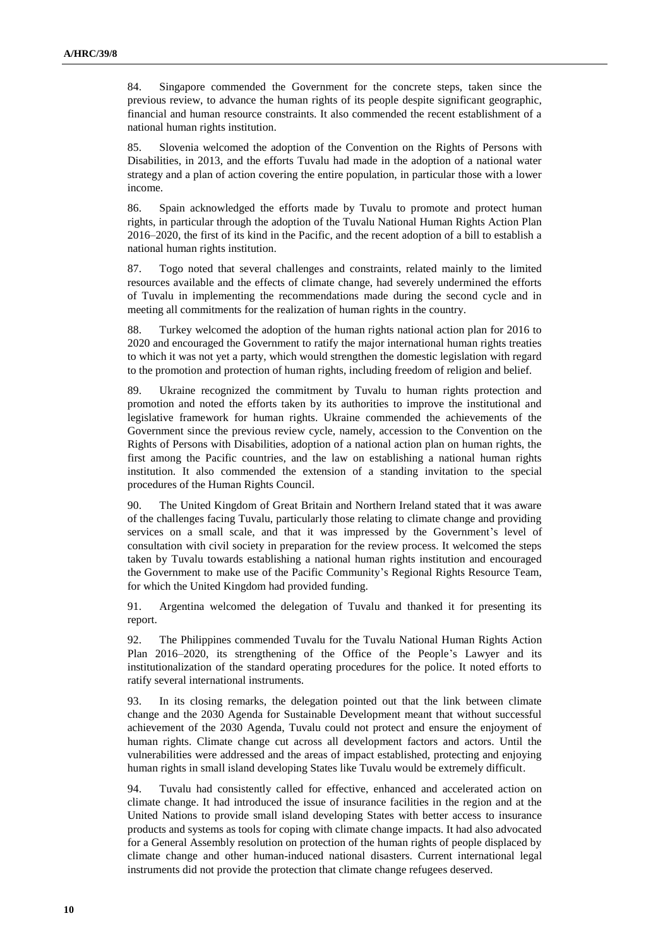84. Singapore commended the Government for the concrete steps, taken since the previous review, to advance the human rights of its people despite significant geographic, financial and human resource constraints. It also commended the recent establishment of a national human rights institution.

85. Slovenia welcomed the adoption of the Convention on the Rights of Persons with Disabilities, in 2013, and the efforts Tuvalu had made in the adoption of a national water strategy and a plan of action covering the entire population, in particular those with a lower income.

86. Spain acknowledged the efforts made by Tuvalu to promote and protect human rights, in particular through the adoption of the Tuvalu National Human Rights Action Plan 2016–2020, the first of its kind in the Pacific, and the recent adoption of a bill to establish a national human rights institution.

87. Togo noted that several challenges and constraints, related mainly to the limited resources available and the effects of climate change, had severely undermined the efforts of Tuvalu in implementing the recommendations made during the second cycle and in meeting all commitments for the realization of human rights in the country.

88. Turkey welcomed the adoption of the human rights national action plan for 2016 to 2020 and encouraged the Government to ratify the major international human rights treaties to which it was not yet a party, which would strengthen the domestic legislation with regard to the promotion and protection of human rights, including freedom of religion and belief.

89. Ukraine recognized the commitment by Tuvalu to human rights protection and promotion and noted the efforts taken by its authorities to improve the institutional and legislative framework for human rights. Ukraine commended the achievements of the Government since the previous review cycle, namely, accession to the Convention on the Rights of Persons with Disabilities, adoption of a national action plan on human rights, the first among the Pacific countries, and the law on establishing a national human rights institution. It also commended the extension of a standing invitation to the special procedures of the Human Rights Council.

90. The United Kingdom of Great Britain and Northern Ireland stated that it was aware of the challenges facing Tuvalu, particularly those relating to climate change and providing services on a small scale, and that it was impressed by the Government's level of consultation with civil society in preparation for the review process. It welcomed the steps taken by Tuvalu towards establishing a national human rights institution and encouraged the Government to make use of the Pacific Community's Regional Rights Resource Team, for which the United Kingdom had provided funding.

91. Argentina welcomed the delegation of Tuvalu and thanked it for presenting its report.

92. The Philippines commended Tuvalu for the Tuvalu National Human Rights Action Plan 2016–2020, its strengthening of the Office of the People's Lawyer and its institutionalization of the standard operating procedures for the police. It noted efforts to ratify several international instruments.

93. In its closing remarks, the delegation pointed out that the link between climate change and the 2030 Agenda for Sustainable Development meant that without successful achievement of the 2030 Agenda, Tuvalu could not protect and ensure the enjoyment of human rights. Climate change cut across all development factors and actors. Until the vulnerabilities were addressed and the areas of impact established, protecting and enjoying human rights in small island developing States like Tuvalu would be extremely difficult.

94. Tuvalu had consistently called for effective, enhanced and accelerated action on climate change. It had introduced the issue of insurance facilities in the region and at the United Nations to provide small island developing States with better access to insurance products and systems as tools for coping with climate change impacts. It had also advocated for a General Assembly resolution on protection of the human rights of people displaced by climate change and other human-induced national disasters. Current international legal instruments did not provide the protection that climate change refugees deserved.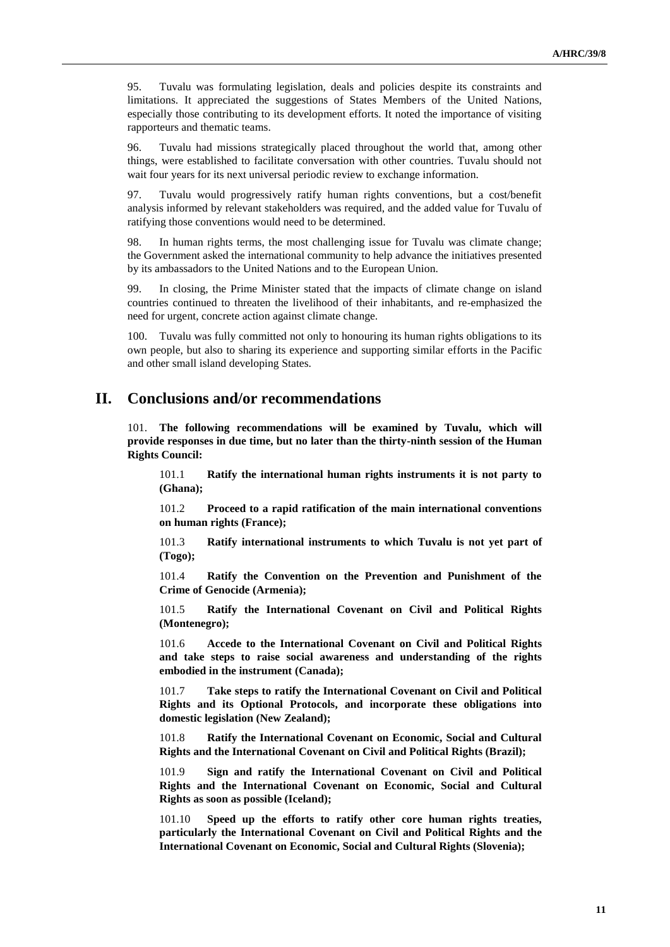95. Tuvalu was formulating legislation, deals and policies despite its constraints and limitations. It appreciated the suggestions of States Members of the United Nations, especially those contributing to its development efforts. It noted the importance of visiting rapporteurs and thematic teams.

96. Tuvalu had missions strategically placed throughout the world that, among other things, were established to facilitate conversation with other countries. Tuvalu should not wait four years for its next universal periodic review to exchange information.

97. Tuvalu would progressively ratify human rights conventions, but a cost/benefit analysis informed by relevant stakeholders was required, and the added value for Tuvalu of ratifying those conventions would need to be determined.

98. In human rights terms, the most challenging issue for Tuvalu was climate change; the Government asked the international community to help advance the initiatives presented by its ambassadors to the United Nations and to the European Union.

99. In closing, the Prime Minister stated that the impacts of climate change on island countries continued to threaten the livelihood of their inhabitants, and re-emphasized the need for urgent, concrete action against climate change.

100. Tuvalu was fully committed not only to honouring its human rights obligations to its own people, but also to sharing its experience and supporting similar efforts in the Pacific and other small island developing States.

## **II. Conclusions and/or recommendations**

101. **The following recommendations will be examined by Tuvalu, which will provide responses in due time, but no later than the thirty-ninth session of the Human Rights Council:**

101.1 **Ratify the international human rights instruments it is not party to (Ghana);**

101.2 **Proceed to a rapid ratification of the main international conventions on human rights (France);**

101.3 **Ratify international instruments to which Tuvalu is not yet part of (Togo);**

101.4 **Ratify the Convention on the Prevention and Punishment of the Crime of Genocide (Armenia);**

101.5 **Ratify the International Covenant on Civil and Political Rights (Montenegro);**

101.6 **Accede to the International Covenant on Civil and Political Rights and take steps to raise social awareness and understanding of the rights embodied in the instrument (Canada);**

101.7 **Take steps to ratify the International Covenant on Civil and Political Rights and its Optional Protocols, and incorporate these obligations into domestic legislation (New Zealand);**

101.8 **Ratify the International Covenant on Economic, Social and Cultural Rights and the International Covenant on Civil and Political Rights (Brazil);**

101.9 **Sign and ratify the International Covenant on Civil and Political Rights and the International Covenant on Economic, Social and Cultural Rights as soon as possible (Iceland);**

101.10 **Speed up the efforts to ratify other core human rights treaties, particularly the International Covenant on Civil and Political Rights and the International Covenant on Economic, Social and Cultural Rights (Slovenia);**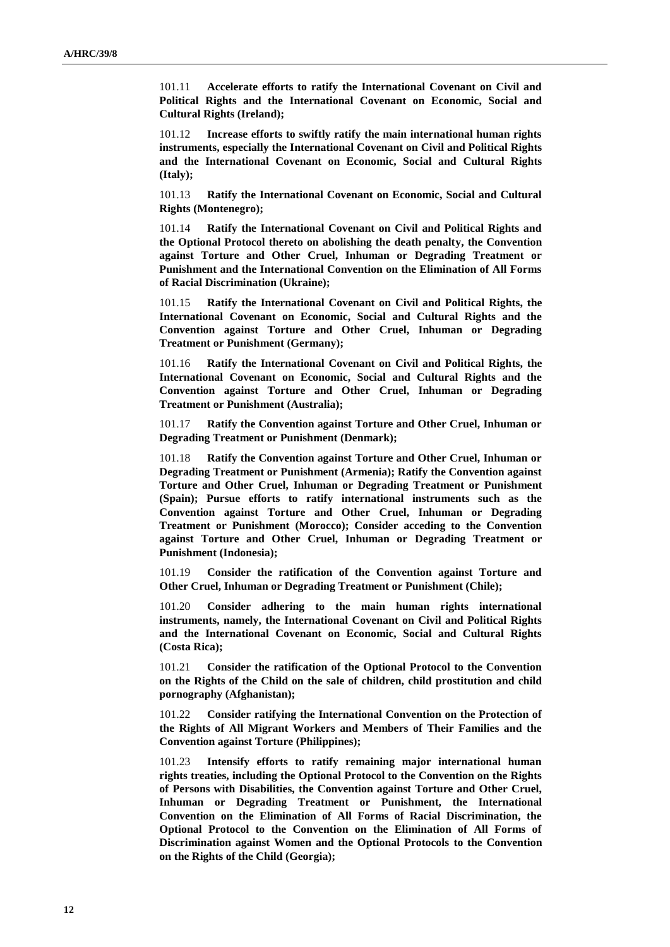101.11 **Accelerate efforts to ratify the International Covenant on Civil and Political Rights and the International Covenant on Economic, Social and Cultural Rights (Ireland);**

101.12 **Increase efforts to swiftly ratify the main international human rights instruments, especially the International Covenant on Civil and Political Rights and the International Covenant on Economic, Social and Cultural Rights (Italy);**

101.13 **Ratify the International Covenant on Economic, Social and Cultural Rights (Montenegro);**

101.14 **Ratify the International Covenant on Civil and Political Rights and the Optional Protocol thereto on abolishing the death penalty, the Convention against Torture and Other Cruel, Inhuman or Degrading Treatment or Punishment and the International Convention on the Elimination of All Forms of Racial Discrimination (Ukraine);**

101.15 **Ratify the International Covenant on Civil and Political Rights, the International Covenant on Economic, Social and Cultural Rights and the Convention against Torture and Other Cruel, Inhuman or Degrading Treatment or Punishment (Germany);**

101.16 **Ratify the International Covenant on Civil and Political Rights, the International Covenant on Economic, Social and Cultural Rights and the Convention against Torture and Other Cruel, Inhuman or Degrading Treatment or Punishment (Australia);**

101.17 **Ratify the Convention against Torture and Other Cruel, Inhuman or Degrading Treatment or Punishment (Denmark);**

101.18 **Ratify the Convention against Torture and Other Cruel, Inhuman or Degrading Treatment or Punishment (Armenia); Ratify the Convention against Torture and Other Cruel, Inhuman or Degrading Treatment or Punishment (Spain); Pursue efforts to ratify international instruments such as the Convention against Torture and Other Cruel, Inhuman or Degrading Treatment or Punishment (Morocco); Consider acceding to the Convention against Torture and Other Cruel, Inhuman or Degrading Treatment or Punishment (Indonesia);**

101.19 **Consider the ratification of the Convention against Torture and Other Cruel, Inhuman or Degrading Treatment or Punishment (Chile);**

101.20 **Consider adhering to the main human rights international instruments, namely, the International Covenant on Civil and Political Rights and the International Covenant on Economic, Social and Cultural Rights (Costa Rica);**

101.21 **Consider the ratification of the Optional Protocol to the Convention on the Rights of the Child on the sale of children, child prostitution and child pornography (Afghanistan);**

101.22 **Consider ratifying the International Convention on the Protection of the Rights of All Migrant Workers and Members of Their Families and the Convention against Torture (Philippines);**

101.23 **Intensify efforts to ratify remaining major international human rights treaties, including the Optional Protocol to the Convention on the Rights of Persons with Disabilities, the Convention against Torture and Other Cruel, Inhuman or Degrading Treatment or Punishment, the International Convention on the Elimination of All Forms of Racial Discrimination, the Optional Protocol to the Convention on the Elimination of All Forms of Discrimination against Women and the Optional Protocols to the Convention on the Rights of the Child (Georgia);**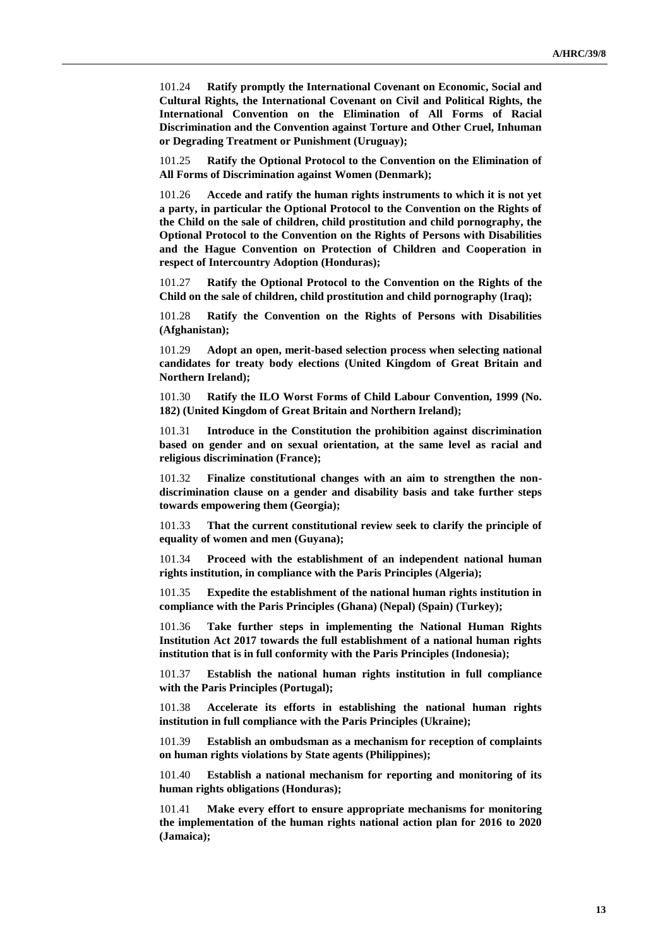101.24 **Ratify promptly the International Covenant on Economic, Social and Cultural Rights, the International Covenant on Civil and Political Rights, the International Convention on the Elimination of All Forms of Racial Discrimination and the Convention against Torture and Other Cruel, Inhuman or Degrading Treatment or Punishment (Uruguay);**

101.25 **Ratify the Optional Protocol to the Convention on the Elimination of All Forms of Discrimination against Women (Denmark);**

101.26 **Accede and ratify the human rights instruments to which it is not yet a party, in particular the Optional Protocol to the Convention on the Rights of the Child on the sale of children, child prostitution and child pornography, the Optional Protocol to the Convention on the Rights of Persons with Disabilities and the Hague Convention on Protection of Children and Cooperation in respect of Intercountry Adoption (Honduras);**

101.27 **Ratify the Optional Protocol to the Convention on the Rights of the Child on the sale of children, child prostitution and child pornography (Iraq);**

101.28 **Ratify the Convention on the Rights of Persons with Disabilities (Afghanistan);**

101.29 **Adopt an open, merit-based selection process when selecting national candidates for treaty body elections (United Kingdom of Great Britain and Northern Ireland);**

101.30 **Ratify the ILO Worst Forms of Child Labour Convention, 1999 (No. 182) (United Kingdom of Great Britain and Northern Ireland);**

101.31 **Introduce in the Constitution the prohibition against discrimination based on gender and on sexual orientation, at the same level as racial and religious discrimination (France);**

101.32 **Finalize constitutional changes with an aim to strengthen the nondiscrimination clause on a gender and disability basis and take further steps towards empowering them (Georgia);**

101.33 **That the current constitutional review seek to clarify the principle of equality of women and men (Guyana);**

101.34 **Proceed with the establishment of an independent national human rights institution, in compliance with the Paris Principles (Algeria);**

101.35 **Expedite the establishment of the national human rights institution in compliance with the Paris Principles (Ghana) (Nepal) (Spain) (Turkey);**

101.36 **Take further steps in implementing the National Human Rights Institution Act 2017 towards the full establishment of a national human rights institution that is in full conformity with the Paris Principles (Indonesia);**

101.37 **Establish the national human rights institution in full compliance with the Paris Principles (Portugal);**

101.38 **Accelerate its efforts in establishing the national human rights institution in full compliance with the Paris Principles (Ukraine);**

101.39 **Establish an ombudsman as a mechanism for reception of complaints on human rights violations by State agents (Philippines);**

101.40 **Establish a national mechanism for reporting and monitoring of its human rights obligations (Honduras);**

101.41 **Make every effort to ensure appropriate mechanisms for monitoring the implementation of the human rights national action plan for 2016 to 2020 (Jamaica);**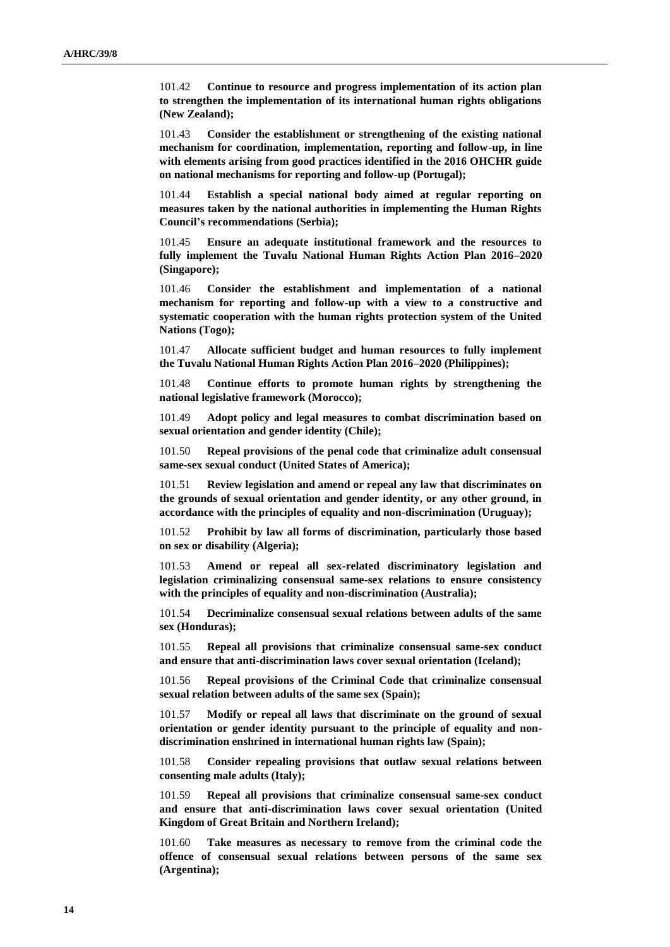101.42 **Continue to resource and progress implementation of its action plan to strengthen the implementation of its international human rights obligations (New Zealand);**

101.43 **Consider the establishment or strengthening of the existing national mechanism for coordination, implementation, reporting and follow-up, in line with elements arising from good practices identified in the 2016 OHCHR guide on national mechanisms for reporting and follow-up (Portugal);**

101.44 **Establish a special national body aimed at regular reporting on measures taken by the national authorities in implementing the Human Rights Council's recommendations (Serbia);**

101.45 **Ensure an adequate institutional framework and the resources to fully implement the Tuvalu National Human Rights Action Plan 2016–2020 (Singapore);**

101.46 **Consider the establishment and implementation of a national mechanism for reporting and follow-up with a view to a constructive and systematic cooperation with the human rights protection system of the United Nations (Togo);**

101.47 **Allocate sufficient budget and human resources to fully implement the Tuvalu National Human Rights Action Plan 2016–2020 (Philippines);**

101.48 **Continue efforts to promote human rights by strengthening the national legislative framework (Morocco);**

101.49 **Adopt policy and legal measures to combat discrimination based on sexual orientation and gender identity (Chile);**

101.50 **Repeal provisions of the penal code that criminalize adult consensual same-sex sexual conduct (United States of America);**

101.51 **Review legislation and amend or repeal any law that discriminates on the grounds of sexual orientation and gender identity, or any other ground, in accordance with the principles of equality and non-discrimination (Uruguay);**

101.52 **Prohibit by law all forms of discrimination, particularly those based on sex or disability (Algeria);**

101.53 **Amend or repeal all sex-related discriminatory legislation and legislation criminalizing consensual same-sex relations to ensure consistency with the principles of equality and non-discrimination (Australia);**

101.54 **Decriminalize consensual sexual relations between adults of the same sex (Honduras);**

101.55 **Repeal all provisions that criminalize consensual same-sex conduct and ensure that anti-discrimination laws cover sexual orientation (Iceland);**

101.56 **Repeal provisions of the Criminal Code that criminalize consensual sexual relation between adults of the same sex (Spain);**

101.57 **Modify or repeal all laws that discriminate on the ground of sexual orientation or gender identity pursuant to the principle of equality and nondiscrimination enshrined in international human rights law (Spain);**

101.58 **Consider repealing provisions that outlaw sexual relations between consenting male adults (Italy);**

101.59 **Repeal all provisions that criminalize consensual same-sex conduct and ensure that anti-discrimination laws cover sexual orientation (United Kingdom of Great Britain and Northern Ireland);**

101.60 **Take measures as necessary to remove from the criminal code the offence of consensual sexual relations between persons of the same sex (Argentina);**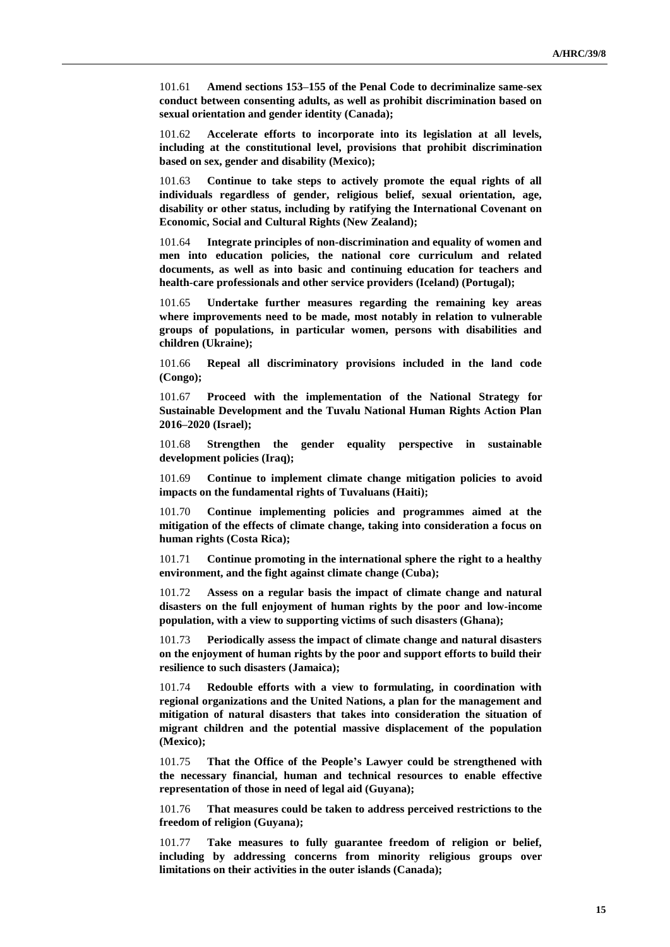101.61 **Amend sections 153–155 of the Penal Code to decriminalize same-sex conduct between consenting adults, as well as prohibit discrimination based on sexual orientation and gender identity (Canada);**

101.62 **Accelerate efforts to incorporate into its legislation at all levels, including at the constitutional level, provisions that prohibit discrimination based on sex, gender and disability (Mexico);**

101.63 **Continue to take steps to actively promote the equal rights of all individuals regardless of gender, religious belief, sexual orientation, age, disability or other status, including by ratifying the International Covenant on Economic, Social and Cultural Rights (New Zealand);**

101.64 **Integrate principles of non-discrimination and equality of women and men into education policies, the national core curriculum and related documents, as well as into basic and continuing education for teachers and health-care professionals and other service providers (Iceland) (Portugal);**

101.65 **Undertake further measures regarding the remaining key areas where improvements need to be made, most notably in relation to vulnerable groups of populations, in particular women, persons with disabilities and children (Ukraine);**

101.66 **Repeal all discriminatory provisions included in the land code (Congo);**

101.67 **Proceed with the implementation of the National Strategy for Sustainable Development and the Tuvalu National Human Rights Action Plan 2016–2020 (Israel);**

101.68 **Strengthen the gender equality perspective in sustainable development policies (Iraq);**

101.69 **Continue to implement climate change mitigation policies to avoid impacts on the fundamental rights of Tuvaluans (Haiti);**

101.70 **Continue implementing policies and programmes aimed at the mitigation of the effects of climate change, taking into consideration a focus on human rights (Costa Rica);**

101.71 **Continue promoting in the international sphere the right to a healthy environment, and the fight against climate change (Cuba);**

101.72 **Assess on a regular basis the impact of climate change and natural disasters on the full enjoyment of human rights by the poor and low-income population, with a view to supporting victims of such disasters (Ghana);**

101.73 **Periodically assess the impact of climate change and natural disasters on the enjoyment of human rights by the poor and support efforts to build their resilience to such disasters (Jamaica);**

101.74 **Redouble efforts with a view to formulating, in coordination with regional organizations and the United Nations, a plan for the management and mitigation of natural disasters that takes into consideration the situation of migrant children and the potential massive displacement of the population (Mexico);**

101.75 **That the Office of the People's Lawyer could be strengthened with the necessary financial, human and technical resources to enable effective representation of those in need of legal aid (Guyana);**

101.76 **That measures could be taken to address perceived restrictions to the freedom of religion (Guyana);**

101.77 **Take measures to fully guarantee freedom of religion or belief, including by addressing concerns from minority religious groups over limitations on their activities in the outer islands (Canada);**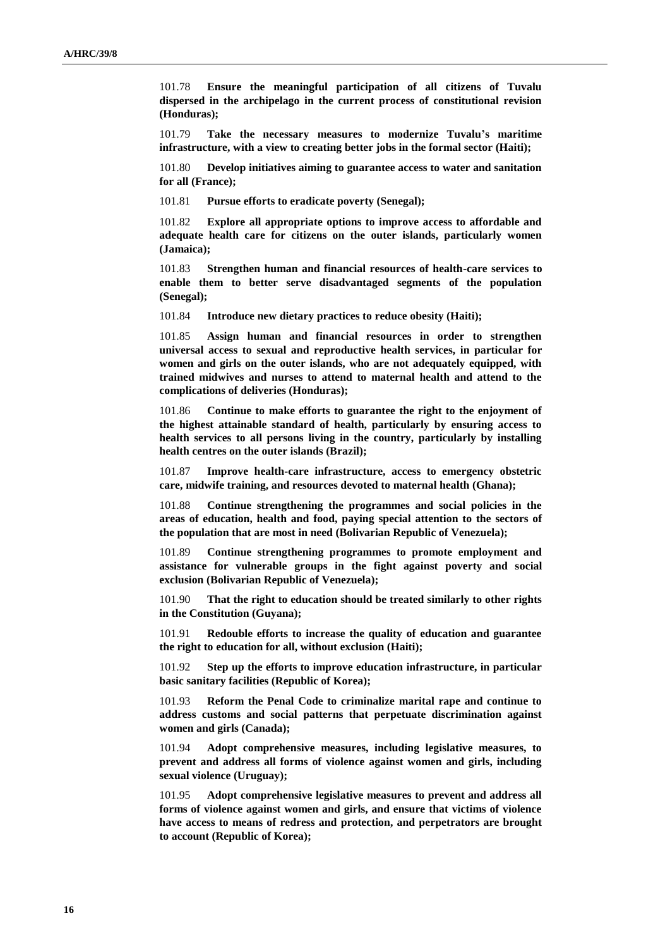101.78 **Ensure the meaningful participation of all citizens of Tuvalu dispersed in the archipelago in the current process of constitutional revision (Honduras);**

101.79 **Take the necessary measures to modernize Tuvalu's maritime infrastructure, with a view to creating better jobs in the formal sector (Haiti);**

101.80 **Develop initiatives aiming to guarantee access to water and sanitation for all (France);**

101.81 **Pursue efforts to eradicate poverty (Senegal);**

101.82 **Explore all appropriate options to improve access to affordable and adequate health care for citizens on the outer islands, particularly women (Jamaica);**

101.83 **Strengthen human and financial resources of health-care services to enable them to better serve disadvantaged segments of the population (Senegal);**

101.84 **Introduce new dietary practices to reduce obesity (Haiti);**

101.85 **Assign human and financial resources in order to strengthen universal access to sexual and reproductive health services, in particular for women and girls on the outer islands, who are not adequately equipped, with trained midwives and nurses to attend to maternal health and attend to the complications of deliveries (Honduras);**

101.86 **Continue to make efforts to guarantee the right to the enjoyment of the highest attainable standard of health, particularly by ensuring access to health services to all persons living in the country, particularly by installing health centres on the outer islands (Brazil);**

101.87 **Improve health-care infrastructure, access to emergency obstetric care, midwife training, and resources devoted to maternal health (Ghana);**

101.88 **Continue strengthening the programmes and social policies in the areas of education, health and food, paying special attention to the sectors of the population that are most in need (Bolivarian Republic of Venezuela);**

101.89 **Continue strengthening programmes to promote employment and assistance for vulnerable groups in the fight against poverty and social exclusion (Bolivarian Republic of Venezuela);**

101.90 **That the right to education should be treated similarly to other rights in the Constitution (Guyana);**

101.91 **Redouble efforts to increase the quality of education and guarantee the right to education for all, without exclusion (Haiti);**

101.92 **Step up the efforts to improve education infrastructure, in particular basic sanitary facilities (Republic of Korea);**

101.93 **Reform the Penal Code to criminalize marital rape and continue to address customs and social patterns that perpetuate discrimination against women and girls (Canada);**

101.94 **Adopt comprehensive measures, including legislative measures, to prevent and address all forms of violence against women and girls, including sexual violence (Uruguay);**

101.95 **Adopt comprehensive legislative measures to prevent and address all forms of violence against women and girls, and ensure that victims of violence have access to means of redress and protection, and perpetrators are brought to account (Republic of Korea);**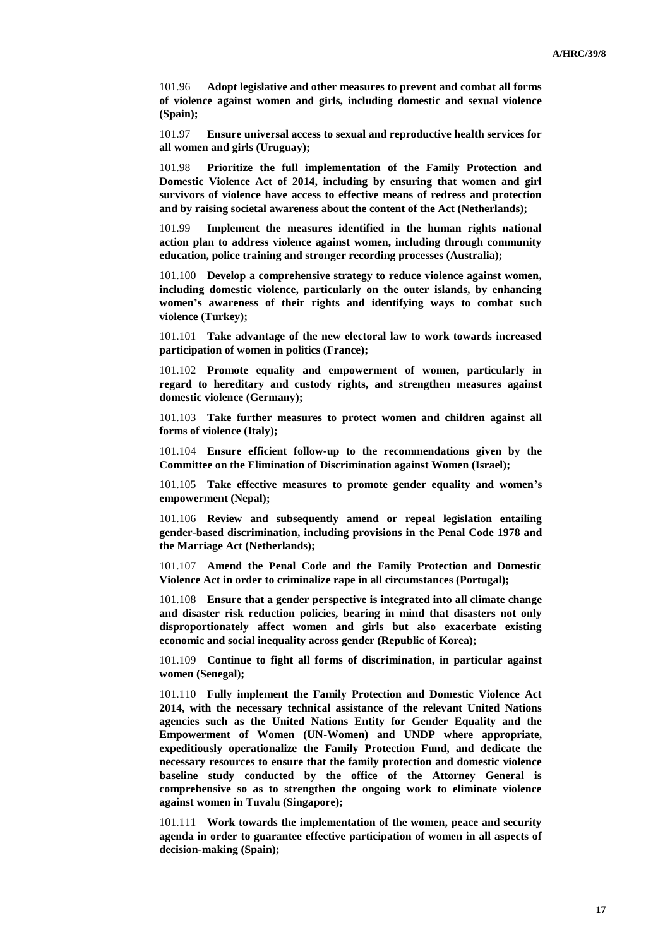101.96 **Adopt legislative and other measures to prevent and combat all forms of violence against women and girls, including domestic and sexual violence (Spain);**

101.97 **Ensure universal access to sexual and reproductive health services for all women and girls (Uruguay);**

101.98 **Prioritize the full implementation of the Family Protection and Domestic Violence Act of 2014, including by ensuring that women and girl survivors of violence have access to effective means of redress and protection and by raising societal awareness about the content of the Act (Netherlands);**

101.99 **Implement the measures identified in the human rights national action plan to address violence against women, including through community education, police training and stronger recording processes (Australia);**

101.100 **Develop a comprehensive strategy to reduce violence against women, including domestic violence, particularly on the outer islands, by enhancing women's awareness of their rights and identifying ways to combat such violence (Turkey);**

101.101 **Take advantage of the new electoral law to work towards increased participation of women in politics (France);**

101.102 **Promote equality and empowerment of women, particularly in regard to hereditary and custody rights, and strengthen measures against domestic violence (Germany);**

101.103 **Take further measures to protect women and children against all forms of violence (Italy);**

101.104 **Ensure efficient follow-up to the recommendations given by the Committee on the Elimination of Discrimination against Women (Israel);**

101.105 **Take effective measures to promote gender equality and women's empowerment (Nepal);**

101.106 **Review and subsequently amend or repeal legislation entailing gender-based discrimination, including provisions in the Penal Code 1978 and the Marriage Act (Netherlands);**

101.107 **Amend the Penal Code and the Family Protection and Domestic Violence Act in order to criminalize rape in all circumstances (Portugal);**

101.108 **Ensure that a gender perspective is integrated into all climate change and disaster risk reduction policies, bearing in mind that disasters not only disproportionately affect women and girls but also exacerbate existing economic and social inequality across gender (Republic of Korea);**

101.109 **Continue to fight all forms of discrimination, in particular against women (Senegal);**

101.110 **Fully implement the Family Protection and Domestic Violence Act 2014, with the necessary technical assistance of the relevant United Nations agencies such as the United Nations Entity for Gender Equality and the Empowerment of Women (UN-Women) and UNDP where appropriate, expeditiously operationalize the Family Protection Fund, and dedicate the necessary resources to ensure that the family protection and domestic violence baseline study conducted by the office of the Attorney General is comprehensive so as to strengthen the ongoing work to eliminate violence against women in Tuvalu (Singapore);**

101.111 **Work towards the implementation of the women, peace and security agenda in order to guarantee effective participation of women in all aspects of decision-making (Spain);**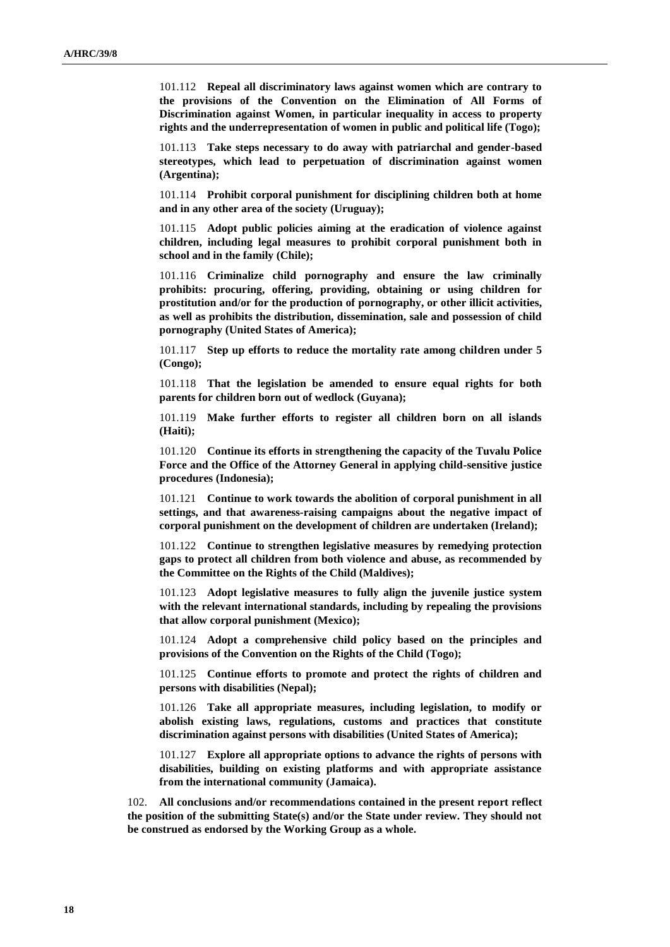101.112 **Repeal all discriminatory laws against women which are contrary to the provisions of the Convention on the Elimination of All Forms of Discrimination against Women, in particular inequality in access to property rights and the underrepresentation of women in public and political life (Togo);**

101.113 **Take steps necessary to do away with patriarchal and gender-based stereotypes, which lead to perpetuation of discrimination against women (Argentina);**

101.114 **Prohibit corporal punishment for disciplining children both at home and in any other area of the society (Uruguay);**

101.115 **Adopt public policies aiming at the eradication of violence against children, including legal measures to prohibit corporal punishment both in school and in the family (Chile);**

101.116 **Criminalize child pornography and ensure the law criminally prohibits: procuring, offering, providing, obtaining or using children for prostitution and/or for the production of pornography, or other illicit activities, as well as prohibits the distribution, dissemination, sale and possession of child pornography (United States of America);**

101.117 **Step up efforts to reduce the mortality rate among children under 5 (Congo);**

101.118 **That the legislation be amended to ensure equal rights for both parents for children born out of wedlock (Guyana);**

101.119 **Make further efforts to register all children born on all islands (Haiti);**

101.120 **Continue its efforts in strengthening the capacity of the Tuvalu Police Force and the Office of the Attorney General in applying child-sensitive justice procedures (Indonesia);**

101.121 **Continue to work towards the abolition of corporal punishment in all settings, and that awareness-raising campaigns about the negative impact of corporal punishment on the development of children are undertaken (Ireland);**

101.122 **Continue to strengthen legislative measures by remedying protection gaps to protect all children from both violence and abuse, as recommended by the Committee on the Rights of the Child (Maldives);**

101.123 **Adopt legislative measures to fully align the juvenile justice system with the relevant international standards, including by repealing the provisions that allow corporal punishment (Mexico);**

101.124 **Adopt a comprehensive child policy based on the principles and provisions of the Convention on the Rights of the Child (Togo);**

101.125 **Continue efforts to promote and protect the rights of children and persons with disabilities (Nepal);**

101.126 **Take all appropriate measures, including legislation, to modify or abolish existing laws, regulations, customs and practices that constitute discrimination against persons with disabilities (United States of America);**

101.127 **Explore all appropriate options to advance the rights of persons with disabilities, building on existing platforms and with appropriate assistance from the international community (Jamaica).**

102. **All conclusions and/or recommendations contained in the present report reflect the position of the submitting State(s) and/or the State under review. They should not be construed as endorsed by the Working Group as a whole.**